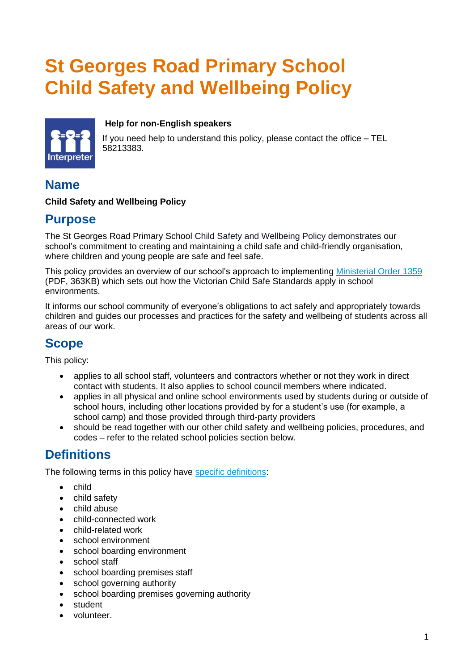# **St Georges Road Primary School Child Safety and Wellbeing Policy**



### **Help for non-English speakers**

If you need help to understand this policy, please contact the office – TEL 58213383.

### **Name**

#### **Child Safety and Wellbeing Policy**

### **Purpose**

The St Georges Road Primary School Child Safety and Wellbeing Policy demonstrates our school's commitment to creating and maintaining a child safe and child-friendly organisation, where children and young people are safe and feel safe.

This policy provides an overview of our school's approach to implementing [Ministerial Order 1359](https://www.education.vic.gov.au/Documents/about/programs/health/protect/Ministerial_Order.pdf) (PDF, 363KB) which sets out how the Victorian Child Safe Standards apply in school environments.

It informs our school community of everyone's obligations to act safely and appropriately towards children and guides our processes and practices for the safety and wellbeing of students across all areas of our work.

# **Scope**

This policy:

- applies to all school staff, volunteers and contractors whether or not they work in direct contact with students. It also applies to school council members where indicated.
- applies in all physical and online school environments used by students during or outside of school hours, including other locations provided by for a student's use (for example, a school camp) and those provided through third-party providers
- should be read together with our other child safety and wellbeing policies, procedures, and codes – refer to the related school policies section below.

# **Definitions**

The following terms in this policy have [specific definitions:](https://www.vic.gov.au/child-safe-standards-definitions)

- child
- child safety
- child abuse
- child-connected work
- child-related work
- school environment
- school boarding environment
- school staff
- school boarding premises staff
- school governing authority
- school boarding premises governing authority
- student
- volunteer.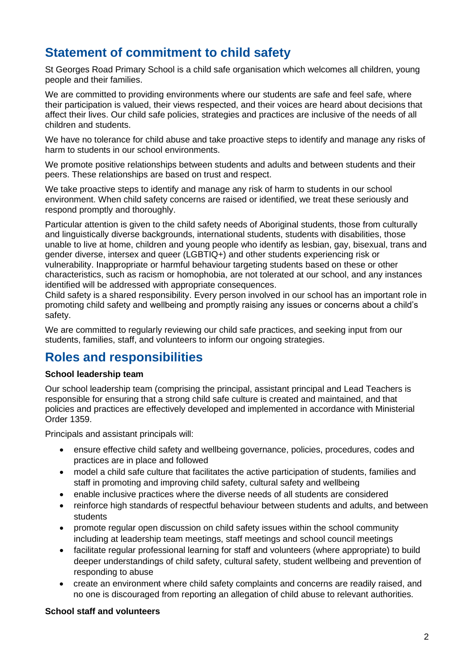# **Statement of commitment to child safety**

St Georges Road Primary School is a child safe organisation which welcomes all children, young people and their families.

We are committed to providing environments where our students are safe and feel safe, where their participation is valued, their views respected, and their voices are heard about decisions that affect their lives. Our child safe policies, strategies and practices are inclusive of the needs of all children and students.

We have no tolerance for child abuse and take proactive steps to identify and manage any risks of harm to students in our school environments.

We promote positive relationships between students and adults and between students and their peers. These relationships are based on trust and respect.

We take proactive steps to identify and manage any risk of harm to students in our school environment. When child safety concerns are raised or identified, we treat these seriously and respond promptly and thoroughly.

Particular attention is given to the child safety needs of Aboriginal students, those from culturally and linguistically diverse backgrounds, international students, students with disabilities, those unable to live at home, children and young people who identify as lesbian, gay, bisexual, trans and gender diverse, intersex and queer (LGBTIQ+) and other students experiencing risk or vulnerability. Inappropriate or harmful behaviour targeting students based on these or other characteristics, such as racism or homophobia, are not tolerated at our school, and any instances identified will be addressed with appropriate consequences.

Child safety is a shared responsibility. Every person involved in our school has an important role in promoting child safety and wellbeing and promptly raising any issues or concerns about a child's safety.

We are committed to regularly reviewing our child safe practices, and seeking input from our students, families, staff, and volunteers to inform our ongoing strategies.

# **Roles and responsibilities**

#### **School leadership team**

Our school leadership team (comprising the principal, assistant principal and Lead Teachers is responsible for ensuring that a strong child safe culture is created and maintained, and that policies and practices are effectively developed and implemented in accordance with Ministerial Order 1359.

Principals and assistant principals will:

- ensure effective child safety and wellbeing governance, policies, procedures, codes and practices are in place and followed
- model a child safe culture that facilitates the active participation of students, families and staff in promoting and improving child safety, cultural safety and wellbeing
- enable inclusive practices where the diverse needs of all students are considered
- reinforce high standards of respectful behaviour between students and adults, and between students
- promote regular open discussion on child safety issues within the school community including at leadership team meetings, staff meetings and school council meetings
- facilitate regular professional learning for staff and volunteers (where appropriate) to build deeper understandings of child safety, cultural safety, student wellbeing and prevention of responding to abuse
- create an environment where child safety complaints and concerns are readily raised, and no one is discouraged from reporting an allegation of child abuse to relevant authorities.

#### **School staff and volunteers**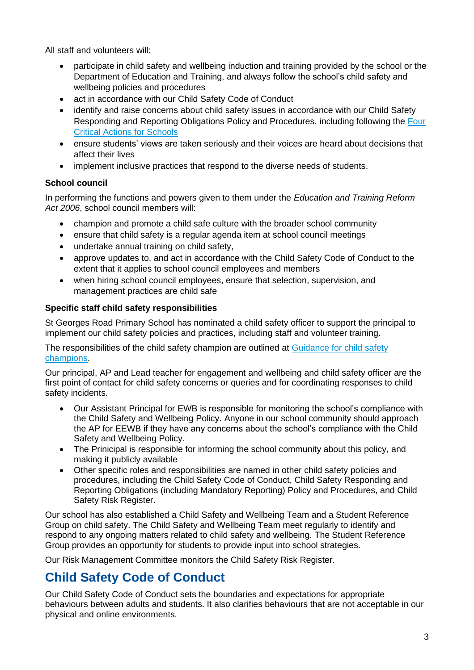All staff and volunteers will:

- participate in child safety and wellbeing induction and training provided by the school or the Department of Education and Training, and always follow the school's child safety and wellbeing policies and procedures
- act in accordance with our Child Safety Code of Conduct
- identify and raise concerns about child safety issues in accordance with our Child Safety Responding and Reporting Obligations Policy and Procedures, including following the [Four](https://www.education.vic.gov.au/school/teachers/health/childprotection/Pages/report.aspx)  [Critical Actions for Schools](https://www.education.vic.gov.au/school/teachers/health/childprotection/Pages/report.aspx)
- ensure students' views are taken seriously and their voices are heard about decisions that affect their lives
- implement inclusive practices that respond to the diverse needs of students.

### **School council**

In performing the functions and powers given to them under the *Education and Training Reform Act 2006*, school council members will:

- champion and promote a child safe culture with the broader school community
- ensure that child safety is a regular agenda item at school council meetings
- undertake annual training on child safety,
- approve updates to, and act in accordance with the Child Safety Code of Conduct to the extent that it applies to school council employees and members
- when hiring school council employees, ensure that selection, supervision, and management practices are child safe

### **Specific staff child safety responsibilities**

St Georges Road Primary School has nominated a child safety officer to support the principal to implement our child safety policies and practices, including staff and volunteer training.

The responsibilities of the child safety champion are outlined at Guidance for child safety [champions.](https://www.vic.gov.au/guidance-child-safety-champions)

Our principal, AP and Lead teacher for engagement and wellbeing and child safety officer are the first point of contact for child safety concerns or queries and for coordinating responses to child safety incidents.

- Our Assistant Principal for EWB is responsible for monitoring the school's compliance with the Child Safety and Wellbeing Policy. Anyone in our school community should approach the AP for EEWB if they have any concerns about the school's compliance with the Child Safety and Wellbeing Policy.
- The Prinicipal is responsible for informing the school community about this policy, and making it publicly available
- Other specific roles and responsibilities are named in other child safety policies and procedures, including the Child Safety Code of Conduct, Child Safety Responding and Reporting Obligations (including Mandatory Reporting) Policy and Procedures, and Child Safety Risk Register.

Our school has also established a Child Safety and Wellbeing Team and a Student Reference Group on child safety. The Child Safety and Wellbeing Team meet regularly to identify and respond to any ongoing matters related to child safety and wellbeing. The Student Reference Group provides an opportunity for students to provide input into school strategies.

Our Risk Management Committee monitors the Child Safety Risk Register.

# **Child Safety Code of Conduct**

Our Child Safety Code of Conduct sets the boundaries and expectations for appropriate behaviours between adults and students. It also clarifies behaviours that are not acceptable in our physical and online environments.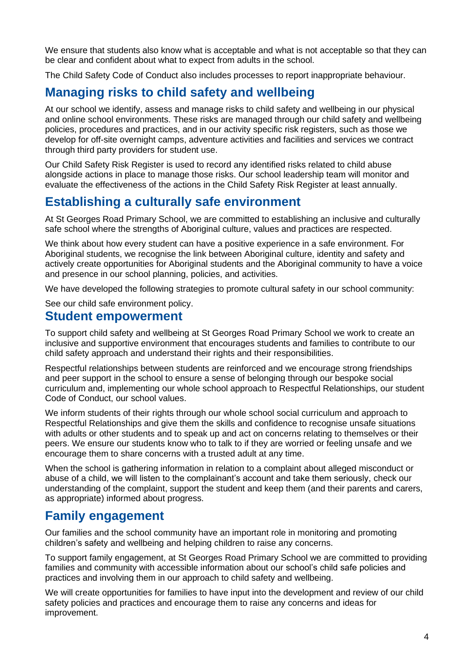We ensure that students also know what is acceptable and what is not acceptable so that they can be clear and confident about what to expect from adults in the school.

The Child Safety Code of Conduct also includes processes to report inappropriate behaviour.

# **Managing risks to child safety and wellbeing**

At our school we identify, assess and manage risks to child safety and wellbeing in our physical and online school environments. These risks are managed through our child safety and wellbeing policies, procedures and practices, and in our activity specific risk registers, such as those we develop for off-site overnight camps, adventure activities and facilities and services we contract through third party providers for student use.

Our Child Safety Risk Register is used to record any identified risks related to child abuse alongside actions in place to manage those risks. Our school leadership team will monitor and evaluate the effectiveness of the actions in the Child Safety Risk Register at least annually.

### **Establishing a culturally safe environment**

At St Georges Road Primary School, we are committed to establishing an inclusive and culturally safe school where the strengths of Aboriginal culture, values and practices are respected.

We think about how every student can have a positive experience in a safe environment. For Aboriginal students, we recognise the link between Aboriginal culture, identity and safety and actively create opportunities for Aboriginal students and the Aboriginal community to have a voice and presence in our school planning, policies, and activities.

We have developed the following strategies to promote cultural safety in our school community:

See our child safe environment policy.

### **Student empowerment**

To support child safety and wellbeing at St Georges Road Primary School we work to create an inclusive and supportive environment that encourages students and families to contribute to our child safety approach and understand their rights and their responsibilities.

Respectful relationships between students are reinforced and we encourage strong friendships and peer support in the school to ensure a sense of belonging through our bespoke social curriculum and, implementing our whole school approach to Respectful Relationships, our student Code of Conduct, our school values.

We inform students of their rights through our whole school social curriculum and approach to Respectful Relationships and give them the skills and confidence to recognise unsafe situations with adults or other students and to speak up and act on concerns relating to themselves or their peers. We ensure our students know who to talk to if they are worried or feeling unsafe and we encourage them to share concerns with a trusted adult at any time.

When the school is gathering information in relation to a complaint about alleged misconduct or abuse of a child, we will listen to the complainant's account and take them seriously, check our understanding of the complaint, support the student and keep them (and their parents and carers, as appropriate) informed about progress.

### **Family engagement**

Our families and the school community have an important role in monitoring and promoting children's safety and wellbeing and helping children to raise any concerns.

To support family engagement, at St Georges Road Primary School we are committed to providing families and community with accessible information about our school's child safe policies and practices and involving them in our approach to child safety and wellbeing.

We will create opportunities for families to have input into the development and review of our child safety policies and practices and encourage them to raise any concerns and ideas for improvement.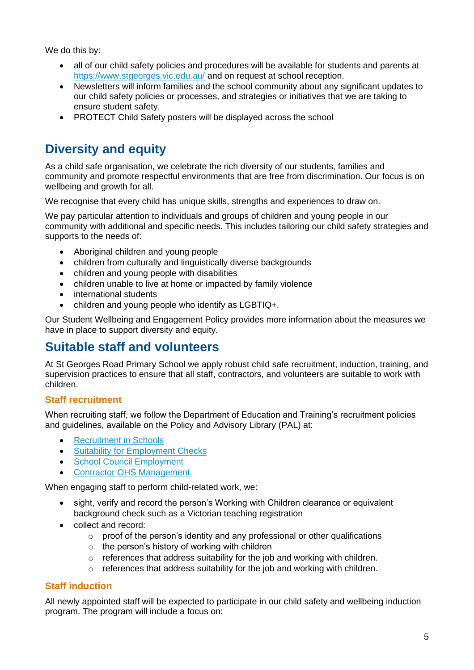We do this by:

- all of our child safety policies and procedures will be available for students and parents at <https://www.stgeorges.vic.edu.au/> and on request at school reception.
- Newsletters will inform families and the school community about any significant updates to our child safety policies or processes, and strategies or initiatives that we are taking to ensure student safety.
- PROTECT Child Safety posters will be displayed across the school

# **Diversity and equity**

As a child safe organisation, we celebrate the rich diversity of our students, families and community and promote respectful environments that are free from discrimination. Our focus is on wellbeing and growth for all.

We recognise that every child has unique skills, strengths and experiences to draw on.

We pay particular attention to individuals and groups of children and young people in our community with additional and specific needs. This includes tailoring our child safety strategies and supports to the needs of:

- Aboriginal children and young people
- children from culturally and linguistically diverse backgrounds
- children and young people with disabilities
- children unable to live at home or impacted by family violence
- international students
- children and young people who identify as LGBTIQ+.

Our Student Wellbeing and Engagement Policy provides more information about the measures we have in place to support diversity and equity.

### **Suitable staff and volunteers**

At St Georges Road Primary School we apply robust child safe recruitment, induction, training, and supervision practices to ensure that all staff, contractors, and volunteers are suitable to work with children.

### **Staff recruitment**

When recruiting staff, we follow the Department of Education and Training's recruitment policies and guidelines, available on the Policy and Advisory Library (PAL) at:

- **[Recruitment in Schools](https://www2.education.vic.gov.au/pal/recruitment-schools/overview)**
- [Suitability for Employment Checks](https://www2.education.vic.gov.au/pal/suitability-employment-checks/overview)
- [School Council Employment](https://www2.education.vic.gov.au/pal/school-council-employment/overview)
- [Contractor OHS Management.](https://www2.education.vic.gov.au/pal/contractor-ohs-management/policy)

When engaging staff to perform child-related work, we:

- sight, verify and record the person's Working with Children clearance or equivalent background check such as a Victorian teaching registration
- collect and record:
	- $\circ$  proof of the person's identity and any professional or other qualifications
	- $\circ$  the person's history of working with children
	- $\circ$  references that address suitability for the job and working with children.
	- o references that address suitability for the job and working with children.

### **Staff induction**

All newly appointed staff will be expected to participate in our child safety and wellbeing induction program. The program will include a focus on: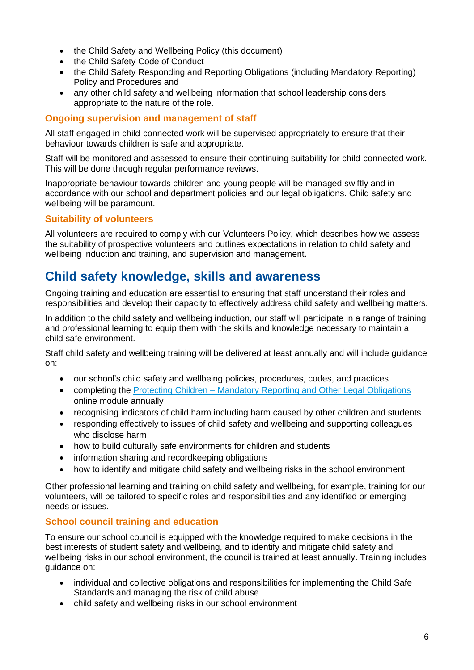- the Child Safety and Wellbeing Policy (this document)
- the Child Safety Code of Conduct
- the Child Safety Responding and Reporting Obligations (including Mandatory Reporting) Policy and Procedures and
- any other child safety and wellbeing information that school leadership considers appropriate to the nature of the role.

### **Ongoing supervision and management of staff**

All staff engaged in child-connected work will be supervised appropriately to ensure that their behaviour towards children is safe and appropriate.

Staff will be monitored and assessed to ensure their continuing suitability for child-connected work. This will be done through regular performance reviews.

Inappropriate behaviour towards children and young people will be managed swiftly and in accordance with our school and department policies and our legal obligations. Child safety and wellbeing will be paramount.

### **Suitability of volunteers**

All volunteers are required to comply with our Volunteers Policy, which describes how we assess the suitability of prospective volunteers and outlines expectations in relation to child safety and wellbeing induction and training, and supervision and management.

# **Child safety knowledge, skills and awareness**

Ongoing training and education are essential to ensuring that staff understand their roles and responsibilities and develop their capacity to effectively address child safety and wellbeing matters.

In addition to the child safety and wellbeing induction, our staff will participate in a range of training and professional learning to equip them with the skills and knowledge necessary to maintain a child safe environment.

Staff child safety and wellbeing training will be delivered at least annually and will include guidance on:

- our school's child safety and wellbeing policies, procedures, codes, and practices
- completing the Protecting Children [Mandatory Reporting and Other](http://elearn.com.au/det/protectingchildren/) Legal Obligations online module annually
- recognising indicators of child harm including harm caused by other children and students
- responding effectively to issues of child safety and wellbeing and supporting colleagues who disclose harm
- how to build culturally safe environments for children and students
- information sharing and recordkeeping obligations
- how to identify and mitigate child safety and wellbeing risks in the school environment.

Other professional learning and training on child safety and wellbeing, for example, training for our volunteers, will be tailored to specific roles and responsibilities and any identified or emerging needs or issues.

### **School council training and education**

To ensure our school council is equipped with the knowledge required to make decisions in the best interests of student safety and wellbeing, and to identify and mitigate child safety and wellbeing risks in our school environment, the council is trained at least annually. Training includes guidance on:

- individual and collective obligations and responsibilities for implementing the Child Safe Standards and managing the risk of child abuse
- child safety and wellbeing risks in our school environment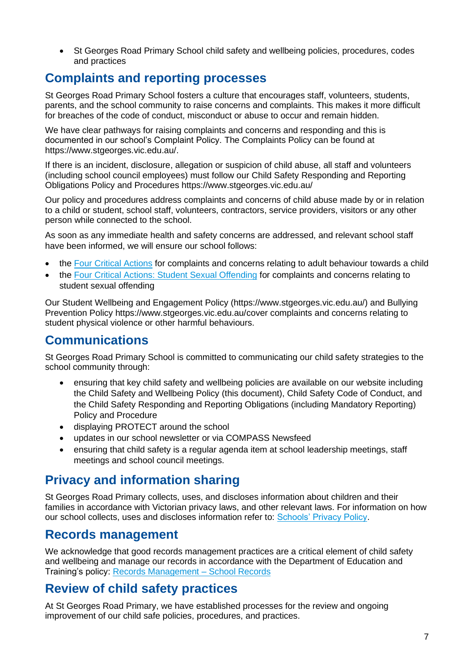• St Georges Road Primary School child safety and wellbeing policies, procedures, codes and practices

# **Complaints and reporting processes**

St Georges Road Primary School fosters a culture that encourages staff, volunteers, students, parents, and the school community to raise concerns and complaints. This makes it more difficult for breaches of the code of conduct, misconduct or abuse to occur and remain hidden.

We have clear pathways for raising complaints and concerns and responding and this is documented in our school's Complaint Policy. The Complaints Policy can be found at https://www.stgeorges.vic.edu.au/.

If there is an incident, disclosure, allegation or suspicion of child abuse, all staff and volunteers (including school council employees) must follow our Child Safety Responding and Reporting Obligations Policy and Procedures https://www.stgeorges.vic.edu.au/

Our policy and procedures address complaints and concerns of child abuse made by or in relation to a child or student, school staff, volunteers, contractors, service providers, visitors or any other person while connected to the school.

As soon as any immediate health and safety concerns are addressed, and relevant school staff have been informed, we will ensure our school follows:

- the [Four Critical Actions](https://www.education.vic.gov.au/Documents/about/programs/health/protect/FourCriticalActions_ChildAbuse.pdf) for complaints and concerns relating to adult behaviour towards a child
- the Four Critical [Actions: Student Sexual Offending](https://www.education.vic.gov.au/school/teachers/health/childprotection/Pages/stusexual.aspx) for complaints and concerns relating to student sexual offending

Our Student Wellbeing and Engagement Policy (https://www.stgeorges.vic.edu.au/) and Bullying Prevention Policy https://www.stgeorges.vic.edu.au/cover complaints and concerns relating to student physical violence or other harmful behaviours.

# **Communications**

St Georges Road Primary School is committed to communicating our child safety strategies to the school community through:

- ensuring that key child safety and wellbeing policies are available on our website including the Child Safety and Wellbeing Policy (this document), Child Safety Code of Conduct, and the Child Safety Responding and Reporting Obligations (including Mandatory Reporting) Policy and Procedure
- displaying PROTECT around the school
- updates in our school newsletter or via COMPASS Newsfeed
- ensuring that child safety is a regular agenda item at school leadership meetings, staff meetings and school council meetings.

# **Privacy and information sharing**

St Georges Road Primary collects, uses, and discloses information about children and their families in accordance with Victorian privacy laws, and other relevant laws. For information on how our school collects, uses and discloses information refer to: [Schools' Privacy Policy.](https://www.education.vic.gov.au/Pages/schoolsprivacypolicy.aspx)

# **Records management**

We acknowledge that good records management practices are a critical element of child safety and wellbeing and manage our records in accordance with the Department of Education and Training's policy: [Records Management –](https://www2.education.vic.gov.au/pal/records-management/policy) School Records

# **Review of child safety practices**

At St Georges Road Primary, we have established processes for the review and ongoing improvement of our child safe policies, procedures, and practices.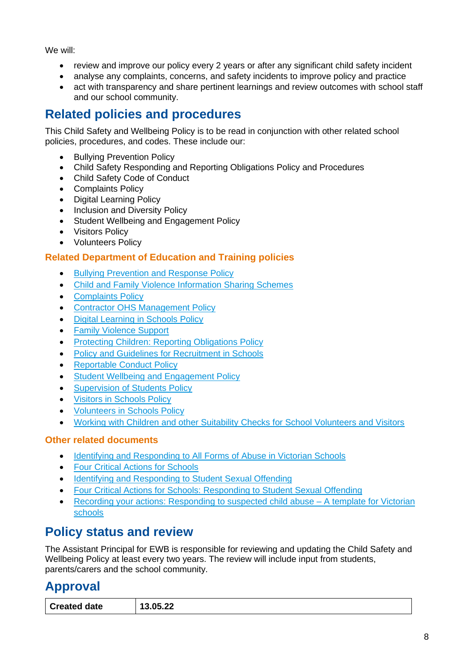We will:

- review and improve our policy every 2 years or after any significant child safety incident
- analyse any complaints, concerns, and safety incidents to improve policy and practice
- act with transparency and share pertinent learnings and review outcomes with school staff and our school community.

# **Related policies and procedures**

This Child Safety and Wellbeing Policy is to be read in conjunction with other related school policies, procedures, and codes. These include our:

- Bullying Prevention Policy
- Child Safety Responding and Reporting Obligations Policy and Procedures
- Child Safety Code of Conduct
- Complaints Policy
- Digital Learning Policy
- Inclusion and Diversity Policy
- Student Wellbeing and Engagement Policy
- Visitors Policy
- Volunteers Policy

### **Related Department of Education and Training policies**

- [Bullying Prevention and Response Policy](https://www2.education.vic.gov.au/pal/bullying-prevention-response/policy)
- [Child and Family Violence Information Sharing Schemes](https://www2.education.vic.gov.au/pal/information-sharing-schemes/policy)
- [Complaints Policy](https://www2.education.vic.gov.au/pal/complaints/policy)
- [Contractor OHS Management Policy](https://www2.education.vic.gov.au/pal/contractor-ohs-management/policy)
- [Digital Learning in Schools Policy](https://www2.education.vic.gov.au/pal/digital-learning/policy)
- **Family Violence Support**
- [Protecting Children: Reporting Obligations Policy](https://www2.education.vic.gov.au/pal/protecting-children/policy)
- [Policy and Guidelines for Recruitment in Schools](https://www2.education.vic.gov.au/pal/recruitment-schools/policy-and-guidelines)
- [Reportable Conduct Policy](https://www2.education.vic.gov.au/pal/reportable-conduct-scheme/policy)
- Student [Wellbeing and Engagement Policy](https://www2.education.vic.gov.au/pal/student-engagement/policy)
- [Supervision of Students Policy](https://www2.education.vic.gov.au/pal/supervision-students/policy)
- [Visitors in Schools Policy](https://www2.education.vic.gov.au/pal/visitors/policy)
- [Volunteers in Schools Policy](https://www2.education.vic.gov.au/pal/volunteers/policy)
- [Working with Children and other Suitability Checks for School Volunteers and Visitors](https://www2.education.vic.gov.au/pal/suitability-checks/policy)

#### **Other related documents**

- [Identifying and Responding to All Forms of Abuse in Victorian Schools](https://www.education.vic.gov.au/Documents/about/programs/health/protect/ChildSafeStandard5_SchoolsGuide.pdf)
- [Four Critical Actions for Schools](https://www.education.vic.gov.au/Documents/about/programs/health/protect/FourCriticalActions_ChildAbuse.pdf)
- [Identifying and Responding to Student Sexual Offending](https://www.education.vic.gov.au/Documents/about/programs/health/protect/SSO_Policy.pdf)
- [Four Critical Actions for Schools: Responding to Student Sexual Offending](https://www.education.vic.gov.au/Documents/about/programs/health/protect/FourCriticalActions_SSO.pdf)
- [Recording your actions: Responding to suspected child abuse –](https://www.education.vic.gov.au/Documents/about/programs/health/protect/PROTECT_Schoolstemplate.pdf) A template for Victorian [schools](https://www.education.vic.gov.au/Documents/about/programs/health/protect/PROTECT_Schoolstemplate.pdf)

### **Policy status and review**

The Assistant Principal for EWB is responsible for reviewing and updating the Child Safety and Wellbeing Policy at least every two years. The review will include input from students, parents/carers and the school community.

### **Approval**

| <b>Created date</b> | 13.05.22 |  |
|---------------------|----------|--|
|---------------------|----------|--|